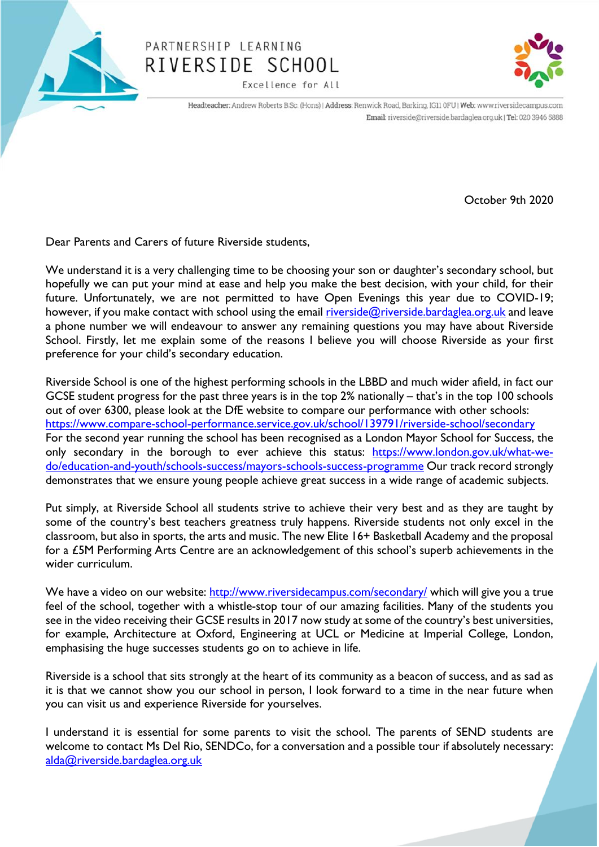

## PARTNERSHIP LEARNING RIVERSIDE SCHOOL

Excellence for All



Headteacher: Andrew Roberts B.Sc. (Hons) | Address: Renwick Road, Barking, IG11 0FU | Web: www.riversidecampus.com Email: riverside@riverside.bardaglea.org.uk | Tel: 020 3946 5888

October 9th 2020

Dear Parents and Carers of future Riverside students,

We understand it is a very challenging time to be choosing your son or daughter's secondary school, but hopefully we can put your mind at ease and help you make the best decision, with your child, for their future. Unfortunately, we are not permitted to have Open Evenings this year due to COVID-19; however, if you make contact with school using the email [riverside@riverside.bardaglea.org.uk](mailto:riverside@riverside.bardaglea.org.uk) and leave a phone number we will endeavour to answer any remaining questions you may have about Riverside School. Firstly, let me explain some of the reasons I believe you will choose Riverside as your first preference for your child's secondary education.

Riverside School is one of the highest performing schools in the LBBD and much wider afield, in fact our GCSE student progress for the past three years is in the top 2% nationally – that's in the top 100 schools out of over 6300, please look at the DfE website to compare our performance with other schools: <https://www.compare-school-performance.service.gov.uk/school/139791/riverside-school/secondary> For the second year running the school has been recognised as a London Mayor School for Success, the only secondary in the borough to ever achieve this status: [https://www.london.gov.uk/what-we](https://www.london.gov.uk/what-we-do/education-and-youth/schools-success/mayors-schools-success-programme)[do/education-and-youth/schools-success/mayors-schools-success-programme](https://www.london.gov.uk/what-we-do/education-and-youth/schools-success/mayors-schools-success-programme) Our track record strongly demonstrates that we ensure young people achieve great success in a wide range of academic subjects.

Put simply, at Riverside School all students strive to achieve their very best and as they are taught by some of the country's best teachers greatness truly happens. Riverside students not only excel in the classroom, but also in sports, the arts and music. The new Elite 16+ Basketball Academy and the proposal for a £5M Performing Arts Centre are an acknowledgement of this school's superb achievements in the wider curriculum.

We have a video on our website:<http://www.riversidecampus.com/secondary/> which will give you a true feel of the school, together with a whistle-stop tour of our amazing facilities. Many of the students you see in the video receiving their GCSE results in 2017 now study at some of the country's best universities, for example, Architecture at Oxford, Engineering at UCL or Medicine at Imperial College, London, emphasising the huge successes students go on to achieve in life.

Riverside is a school that sits strongly at the heart of its community as a beacon of success, and as sad as it is that we cannot show you our school in person, I look forward to a time in the near future when you can visit us and experience Riverside for yourselves.

I understand it is essential for some parents to visit the school. The parents of SEND students are welcome to contact Ms Del Rio, SENDCo, for a conversation and a possible tour if absolutely necessary: [alda@riverside.bardaglea.org.uk](mailto:alda@riverside.bardaglea.org.uk)